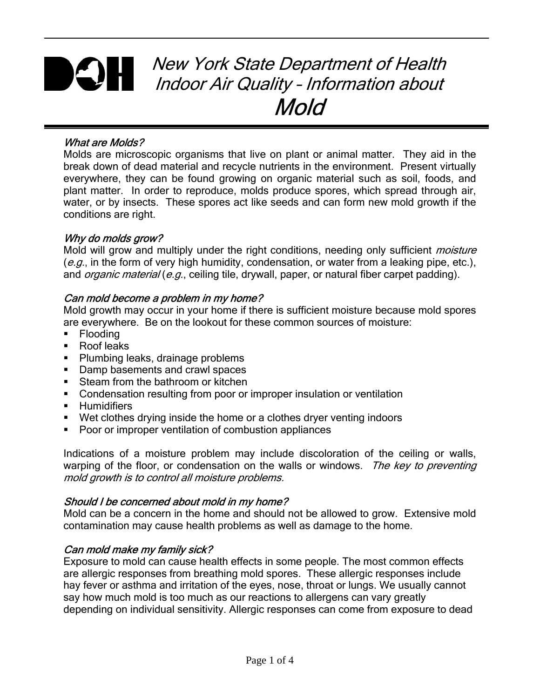# New York State Department of Health Indoor Air Quality – Information about Mold

### What are Molds?

Molds are microscopic organisms that live on plant or animal matter. They aid in the break down of dead material and recycle nutrients in the environment. Present virtually everywhere, they can be found growing on organic material such as soil, foods, and plant matter. In order to reproduce, molds produce spores, which spread through air, water, or by insects. These spores act like seeds and can form new mold growth if the conditions are right.

#### Why do molds grow?

Mold will grow and multiply under the right conditions, needing only sufficient *moisture*  $(e.g.,$  in the form of very high humidity, condensation, or water from a leaking pipe, etc.), and *organic material* (e.g., ceiling tile, drywall, paper, or natural fiber carpet padding).

#### Can mold become a problem in my home?

Mold growth may occur in your home if there is sufficient moisture because mold spores are everywhere. Be on the lookout for these common sources of moisture:

- **Flooding**
- Roof leaks
- **Plumbing leaks, drainage problems**
- Damp basements and crawl spaces
- **Steam from the bathroom or kitchen**
- **Condensation resulting from poor or improper insulation or ventilation**
- **Humidifiers**
- Wet clothes drying inside the home or a clothes dryer venting indoors
- Poor or improper ventilation of combustion appliances

Indications of a moisture problem may include discoloration of the ceiling or walls, warping of the floor, or condensation on the walls or windows. The key to preventing mold growth is to control all moisture problems.

#### Should I be concerned about mold in my home?

Mold can be a concern in the home and should not be allowed to grow. Extensive mold contamination may cause health problems as well as damage to the home.

#### Can mold make my family sick?

Exposure to mold can cause health effects in some people. The most common effects are allergic responses from breathing mold spores. These allergic responses include hay fever or asthma and irritation of the eyes, nose, throat or lungs. We usually cannot say how much mold is too much as our reactions to allergens can vary greatly depending on individual sensitivity. Allergic responses can come from exposure to dead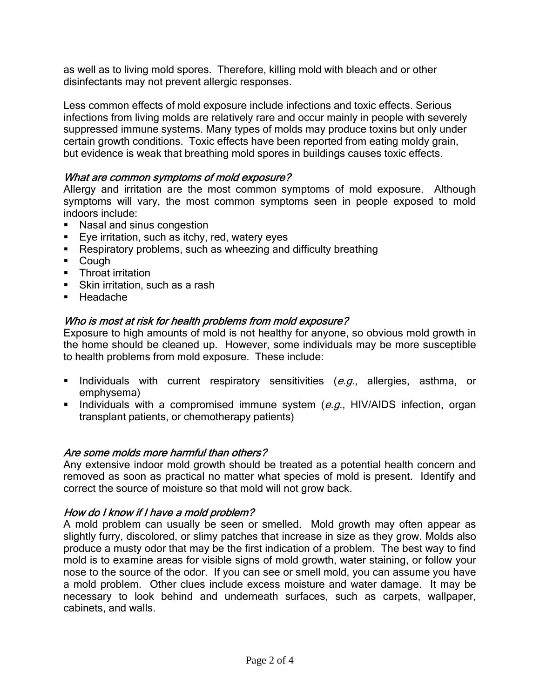as well as to living mold spores. Therefore, killing mold with bleach and or other disinfectants may not prevent allergic responses.

Less common effects of mold exposure include infections and toxic effects. Serious infections from living molds are relatively rare and occur mainly in people with severely suppressed immune systems. Many types of molds may produce toxins but only under certain growth conditions. Toxic effects have been reported from eating moldy grain, but evidence is weak that breathing mold spores in buildings causes toxic effects.

#### What are common symptoms of mold exposure?

Allergy and irritation are the most common symptoms of mold exposure. Although symptoms will vary, the most common symptoms seen in people exposed to mold indoors include:

- Nasal and sinus congestion
- **Eye irritation, such as itchy, red, watery eyes**
- Respiratory problems, such as wheezing and difficulty breathing
- Cough
- **Throat irritation**
- Skin irritation, such as a rash
- Headache

#### Who is most at risk for health problems from mold exposure?

Exposure to high amounts of mold is not healthy for anyone, so obvious mold growth in the home should be cleaned up. However, some individuals may be more susceptible to health problems from mold exposure. These include:

- Individuals with current respiratory sensitivities  $(e.g.,$  allergies, asthma, or emphysema)
- Individuals with a compromised immune system  $(e.g., HIV/AIDS$  infection, organ transplant patients, or chemotherapy patients)

#### Are some molds more harmful than others?

Any extensive indoor mold growth should be treated as a potential health concern and removed as soon as practical no matter what species of mold is present. Identify and correct the source of moisture so that mold will not grow back.

#### How do I know if I have a mold problem?

A mold problem can usually be seen or smelled. Mold growth may often appear as slightly furry, discolored, or slimy patches that increase in size as they grow. Molds also produce a musty odor that may be the first indication of a problem. The best way to find mold is to examine areas for visible signs of mold growth, water staining, or follow your nose to the source of the odor. If you can see or smell mold, you can assume you have a mold problem. Other clues include excess moisture and water damage. It may be necessary to look behind and underneath surfaces, such as carpets, wallpaper, cabinets, and walls.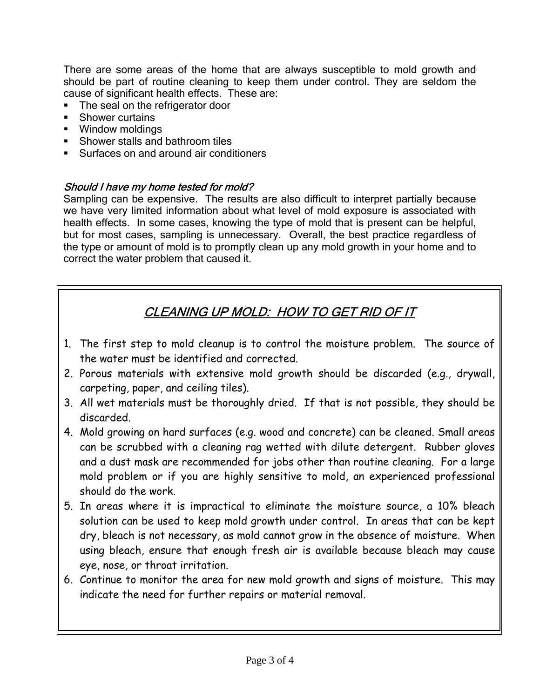There are some areas of the home that are always susceptible to mold growth and should be part of routine cleaning to keep them under control. They are seldom the cause of significant health effects. These are:

- The seal on the refrigerator door
- **Shower curtains**
- **Window moldings**
- **Shower stalls and bathroom tiles**
- **Surfaces on and around air conditioners**

#### Should I have my home tested for mold?

Sampling can be expensive. The results are also difficult to interpret partially because we have very limited information about what level of mold exposure is associated with health effects. In some cases, knowing the type of mold that is present can be helpful, but for most cases, sampling is unnecessary. Overall, the best practice regardless of the type or amount of mold is to promptly clean up any mold growth in your home and to correct the water problem that caused it.

## CLEANING UP MOLD: HOW TO GET RID OF IT

- 1. The first step to mold cleanup is to control the moisture problem. The source of the water must be identified and corrected.
- 2. Porous materials with extensive mold growth should be discarded (e.g., drywall, carpeting, paper, and ceiling tiles).
- 3. All wet materials must be thoroughly dried. If that is not possible, they should be discarded.
- 4. Mold growing on hard surfaces (e.g. wood and concrete) can be cleaned. Small areas can be scrubbed with a cleaning rag wetted with dilute detergent. Rubber gloves and a dust mask are recommended for jobs other than routine cleaning. For a large mold problem or if you are highly sensitive to mold, an experienced professional should do the work.
- 5. In areas where it is impractical to eliminate the moisture source, a 10% bleach solution can be used to keep mold growth under control. In areas that can be kept dry, bleach is not necessary, as mold cannot grow in the absence of moisture. When using bleach, ensure that enough fresh air is available because bleach may cause eye, nose, or throat irritation.
- 6. Continue to monitor the area for new mold growth and signs of moisture. This may indicate the need for further repairs or material removal.